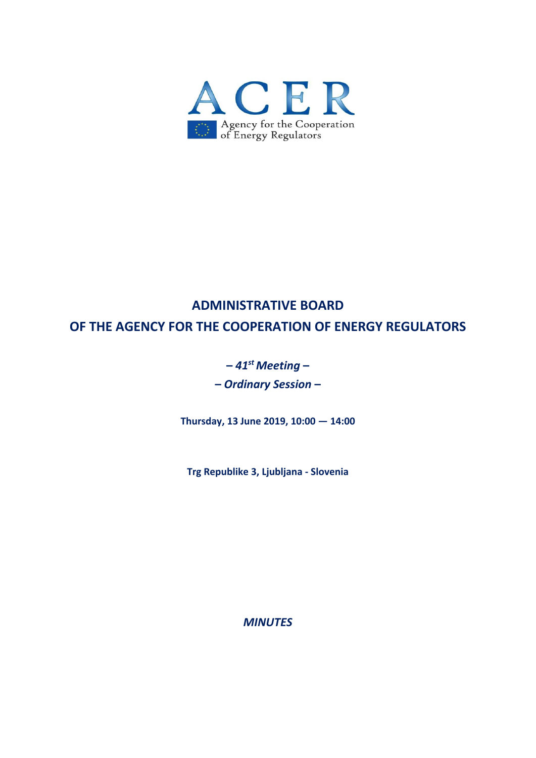

# **ADMINISTRATIVE BOARD OF THE AGENCY FOR THE COOPERATION OF ENERGY REGULATORS**

# **–** *41st Meeting* **–**

**–** *Ordinary Session* **–** 

**Thursday, 13 June 2019, 10:00 — 14:00** 

**Trg Republike 3, Ljubljana ‐ Slovenia** 

*MINUTES*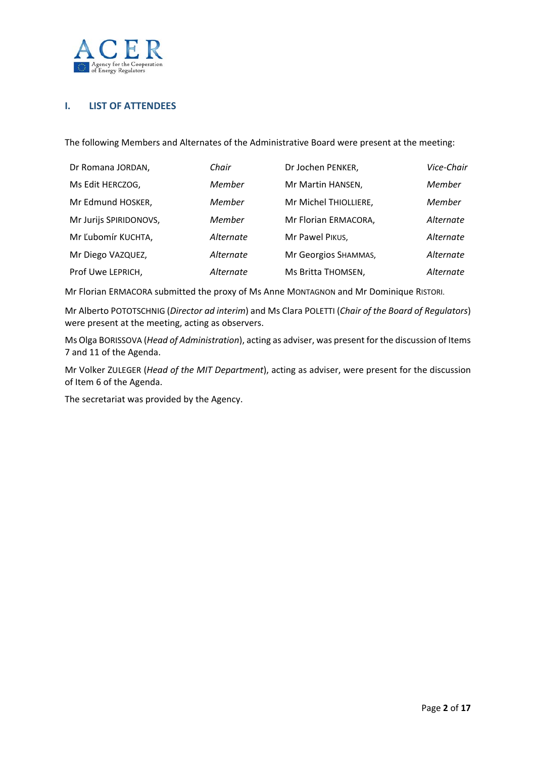

## **I. LIST OF ATTENDEES**

The following Members and Alternates of the Administrative Board were present at the meeting:

| Dr Romana JORDAN,      | Chair     | Dr Jochen PENKER,     | Vice-Chair |
|------------------------|-----------|-----------------------|------------|
| Ms Edit HERCZOG,       | Member    | Mr Martin HANSEN,     | Member     |
| Mr Edmund HOSKER,      | Member    | Mr Michel THIOLLIERE, | Member     |
| Mr Jurijs SPIRIDONOVS, | Member    | Mr Florian ERMACORA,  | Alternate  |
| Mr Ľubomír KUCHTA,     | Alternate | Mr Pawel PIKUS,       | Alternate  |
| Mr Diego VAZQUEZ,      | Alternate | Mr Georgios SHAMMAS,  | Alternate  |
| Prof Uwe LEPRICH,      | Alternate | Ms Britta THOMSEN,    | Alternate  |

Mr Florian ERMACORA submitted the proxy of Ms Anne MONTAGNON and Mr Dominique RISTORI.

Mr Alberto POTOTSCHNIG (*Director ad interim*) and Ms Clara POLETTI (*Chair of the Board of Regulators*) were present at the meeting, acting as observers.

Ms Olga BORISSOVA (*Head of Administration*), acting as adviser, was present for the discussion of Items 7 and 11 of the Agenda.

Mr Volker ZULEGER (*Head of the MIT Department*), acting as adviser, were present for the discussion of Item 6 of the Agenda.

The secretariat was provided by the Agency.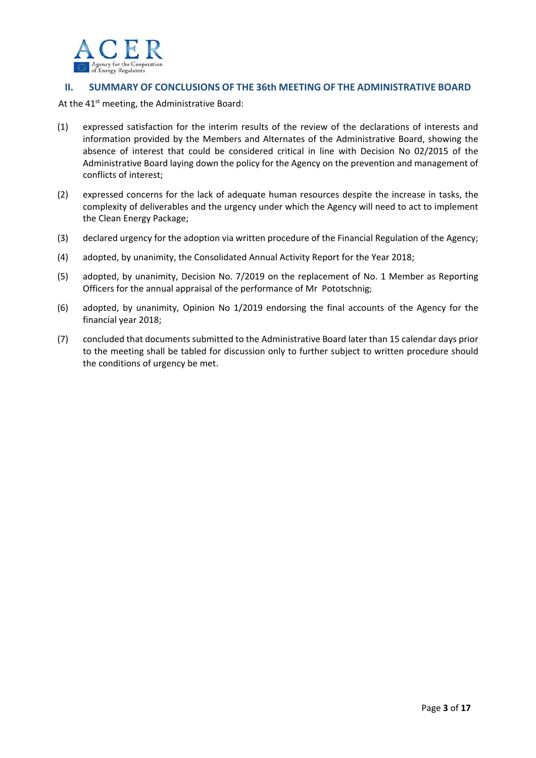

#### **II. SUMMARY OF CONCLUSIONS OF THE 36th MEETING OF THE ADMINISTRATIVE BOARD**

At the 41<sup>st</sup> meeting, the Administrative Board:

- (1) expressed satisfaction for the interim results of the review of the declarations of interests and information provided by the Members and Alternates of the Administrative Board, showing the absence of interest that could be considered critical in line with Decision No 02/2015 of the Administrative Board laying down the policy for the Agency on the prevention and management of conflicts of interest;
- (2) expressed concerns for the lack of adequate human resources despite the increase in tasks, the complexity of deliverables and the urgency under which the Agency will need to act to implement the Clean Energy Package;
- (3) declared urgency for the adoption via written procedure of the Financial Regulation of the Agency;
- (4) adopted, by unanimity, the Consolidated Annual Activity Report for the Year 2018;
- (5) adopted, by unanimity, Decision No. 7/2019 on the replacement of No. 1 Member as Reporting Officers for the annual appraisal of the performance of Mr Pototschnig;
- (6) adopted, by unanimity, Opinion No 1/2019 endorsing the final accounts of the Agency for the financial year 2018;
- (7) concluded that documents submitted to the Administrative Board later than 15 calendar days prior to the meeting shall be tabled for discussion only to further subject to written procedure should the conditions of urgency be met.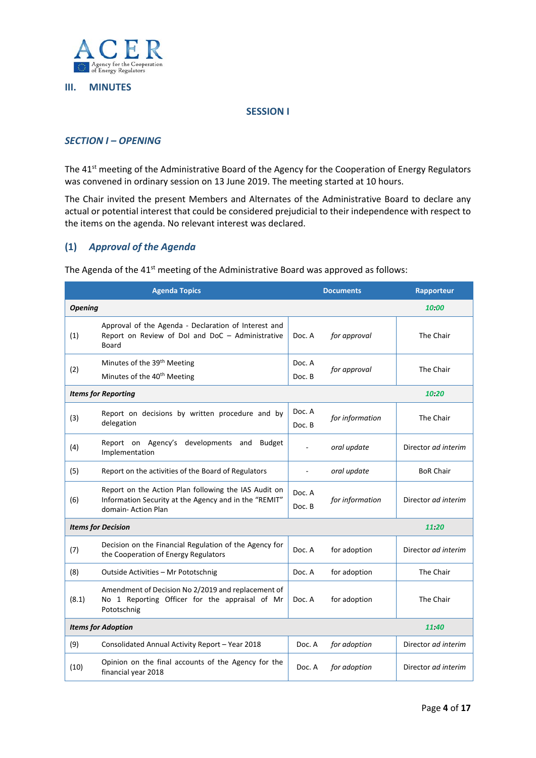

#### **III. MINUTES**

#### **SESSION I**

#### *SECTION I – OPENING*

The 41<sup>st</sup> meeting of the Administrative Board of the Agency for the Cooperation of Energy Regulators was convened in ordinary session on 13 June 2019. The meeting started at 10 hours.

The Chair invited the present Members and Alternates of the Administrative Board to declare any actual or potential interest that could be considered prejudicial to their independence with respect to the items on the agenda. No relevant interest was declared.

# **(1)** *Approval of the Agenda*

The Agenda of the 41<sup>st</sup> meeting of the Administrative Board was approved as follows:

|                                     | <b>Agenda Topics</b>                                                                                                                 |                  | <b>Documents</b> | Rapporteur          |
|-------------------------------------|--------------------------------------------------------------------------------------------------------------------------------------|------------------|------------------|---------------------|
| <b>Opening</b>                      |                                                                                                                                      |                  |                  | 10.00               |
| (1)                                 | Approval of the Agenda - Declaration of Interest and<br>Report on Review of Dol and DoC - Administrative<br>Board                    | Doc. A           | for approval     | The Chair           |
| (2)                                 | Minutes of the 39 <sup>th</sup> Meeting<br>Minutes of the 40 <sup>th</sup> Meeting                                                   | Doc. A<br>Doc. B | for approval     | The Chair           |
| <b>Items for Reporting</b><br>10.20 |                                                                                                                                      |                  |                  |                     |
| (3)                                 | Report on decisions by written procedure and by<br>delegation                                                                        | Doc. A<br>Doc. B | for information  | The Chair           |
| (4)                                 | Report on Agency's developments and<br><b>Budget</b><br>Implementation                                                               |                  | oral update      | Director ad interim |
| (5)                                 | Report on the activities of the Board of Regulators                                                                                  | $\sim$           | oral update      | <b>BoR Chair</b>    |
| (6)                                 | Report on the Action Plan following the IAS Audit on<br>Information Security at the Agency and in the "REMIT"<br>domain- Action Plan | Doc. A<br>Doc. B | for information  | Director ad interim |
| <b>Items for Decision</b><br>11.20  |                                                                                                                                      |                  |                  |                     |
| (7)                                 | Decision on the Financial Regulation of the Agency for<br>the Cooperation of Energy Regulators                                       | Doc. A           | for adoption     | Director ad interim |
| (8)                                 | Outside Activities - Mr Pototschnig                                                                                                  | Doc. A           | for adoption     | The Chair           |
| (8.1)                               | Amendment of Decision No 2/2019 and replacement of<br>No 1 Reporting Officer for the appraisal of Mr<br>Pototschnig                  | Doc. A           | for adoption     | The Chair           |
| <b>Items for Adoption</b><br>11.40  |                                                                                                                                      |                  |                  |                     |
| (9)                                 | Consolidated Annual Activity Report - Year 2018                                                                                      | Doc. A           | for adoption     | Director ad interim |
| (10)                                | Opinion on the final accounts of the Agency for the<br>financial year 2018                                                           | Doc. A           | for adoption     | Director ad interim |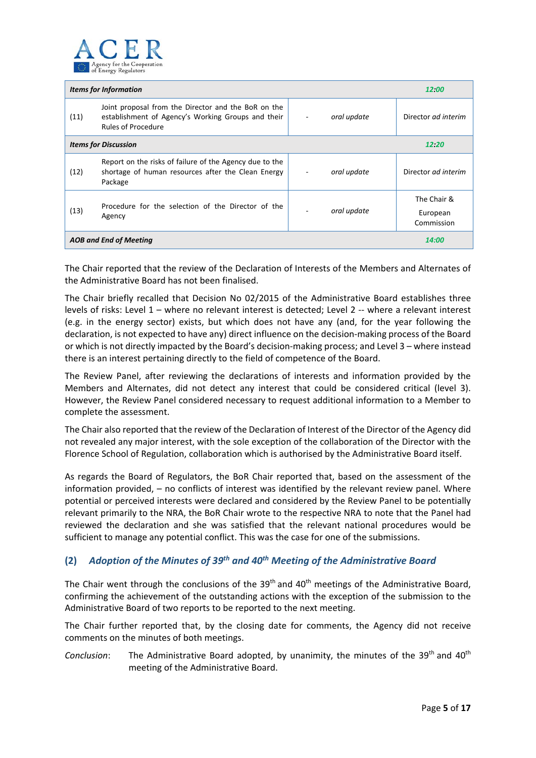

| <b>Items for Information</b>  |                                                                                                                                        |             | 12.00                                 |
|-------------------------------|----------------------------------------------------------------------------------------------------------------------------------------|-------------|---------------------------------------|
| (11)                          | Joint proposal from the Director and the BoR on the<br>establishment of Agency's Working Groups and their<br><b>Rules of Procedure</b> | oral update | Director ad interim                   |
| <b>Items for Discussion</b>   | 12.20                                                                                                                                  |             |                                       |
| (12)                          | Report on the risks of failure of the Agency due to the<br>shortage of human resources after the Clean Energy<br>Package               | oral update | Director ad interim                   |
| (13)                          | Procedure for the selection of the Director of the<br>Agency                                                                           | oral update | The Chair &<br>European<br>Commission |
| <b>AOB and End of Meeting</b> |                                                                                                                                        |             | 14:00                                 |

The Chair reported that the review of the Declaration of Interests of the Members and Alternates of the Administrative Board has not been finalised.

The Chair briefly recalled that Decision No 02/2015 of the Administrative Board establishes three levels of risks: Level 1 – where no relevant interest is detected; Level 2 -- where a relevant interest (e.g. in the energy sector) exists, but which does not have any (and, for the year following the declaration, is not expected to have any) direct influence on the decision‐making process of the Board or which is not directly impacted by the Board's decision‐making process; and Level 3 – where instead there is an interest pertaining directly to the field of competence of the Board.

The Review Panel, after reviewing the declarations of interests and information provided by the Members and Alternates, did not detect any interest that could be considered critical (level 3). However, the Review Panel considered necessary to request additional information to a Member to complete the assessment.

The Chair also reported that the review of the Declaration of Interest of the Director of the Agency did not revealed any major interest, with the sole exception of the collaboration of the Director with the Florence School of Regulation, collaboration which is authorised by the Administrative Board itself.

As regards the Board of Regulators, the BoR Chair reported that, based on the assessment of the information provided, – no conflicts of interest was identified by the relevant review panel. Where potential or perceived interests were declared and considered by the Review Panel to be potentially relevant primarily to the NRA, the BoR Chair wrote to the respective NRA to note that the Panel had reviewed the declaration and she was satisfied that the relevant national procedures would be sufficient to manage any potential conflict. This was the case for one of the submissions.

# **(2)** *Adoption of the Minutes of 39th and 40th Meeting of the Administrative Board*

The Chair went through the conclusions of the 39<sup>th</sup> and 40<sup>th</sup> meetings of the Administrative Board, confirming the achievement of the outstanding actions with the exception of the submission to the Administrative Board of two reports to be reported to the next meeting.

The Chair further reported that, by the closing date for comments, the Agency did not receive comments on the minutes of both meetings.

*Conclusion*: The Administrative Board adopted, by unanimity, the minutes of the 39<sup>th</sup> and 40<sup>th</sup> meeting of the Administrative Board.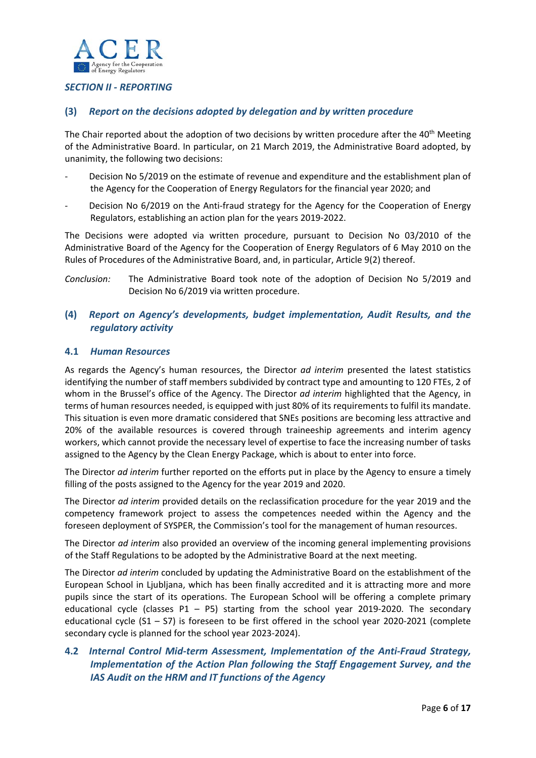

## *SECTION II ‐ REPORTING*

#### **(3)** *Report on the decisions adopted by delegation and by written procedure*

The Chair reported about the adoption of two decisions by written procedure after the 40<sup>th</sup> Meeting of the Administrative Board. In particular, on 21 March 2019, the Administrative Board adopted, by unanimity, the following two decisions:

- ‐ Decision No 5/2019 on the estimate of revenue and expenditure and the establishment plan of the Agency for the Cooperation of Energy Regulators for the financial year 2020; and
- Decision No 6/2019 on the Anti-fraud strategy for the Agency for the Cooperation of Energy Regulators, establishing an action plan for the years 2019‐2022.

The Decisions were adopted via written procedure, pursuant to Decision No 03/2010 of the Administrative Board of the Agency for the Cooperation of Energy Regulators of 6 May 2010 on the Rules of Procedures of the Administrative Board, and, in particular, Article 9(2) thereof.

*Conclusion:* The Administrative Board took note of the adoption of Decision No 5/2019 and Decision No 6/2019 via written procedure.

# **(4)** *Report on Agency's developments, budget implementation, Audit Results, and the regulatory activity*

#### **4.1**  *Human Resources*

As regards the Agency's human resources, the Director *ad interim*  presented the latest statistics identifying the number of staff members subdivided by contract type and amounting to 120 FTEs, 2 of whom in the Brussel's office of the Agency. The Director *ad interim* highlighted that the Agency, in terms of human resources needed, is equipped with just 80% of its requirements to fulfil its mandate. This situation is even more dramatic considered that SNEs positions are becoming less attractive and 20% of the available resources is covered through traineeship agreements and interim agency workers, which cannot provide the necessary level of expertise to face the increasing number of tasks assigned to the Agency by the Clean Energy Package, which is about to enter into force.

The Director *ad interim* further reported on the efforts put in place by the Agency to ensure a timely filling of the posts assigned to the Agency for the year 2019 and 2020.

The Director *ad interim* provided details on the reclassification procedure for the year 2019 and the competency framework project to assess the competences needed within the Agency and the foreseen deployment of SYSPER, the Commission's tool for the management of human resources.

The Director *ad interim* also provided an overview of the incoming general implementing provisions of the Staff Regulations to be adopted by the Administrative Board at the next meeting.

The Director *ad interim* concluded by updating the Administrative Board on the establishment of the European School in Ljubljana, which has been finally accredited and it is attracting more and more pupils since the start of its operations. The European School will be offering a complete primary educational cycle (classes  $P1 - P5$ ) starting from the school year 2019-2020. The secondary educational cycle  $(S1 - S7)$  is foreseen to be first offered in the school year 2020-2021 (complete secondary cycle is planned for the school year 2023-2024).

# **4.2** *Internal Control Mid‐term Assessment, Implementation of the Anti‐Fraud Strategy, Implementation of the Action Plan following the Staff Engagement Survey, and the IAS Audit on the HRM and IT functions of the Agency*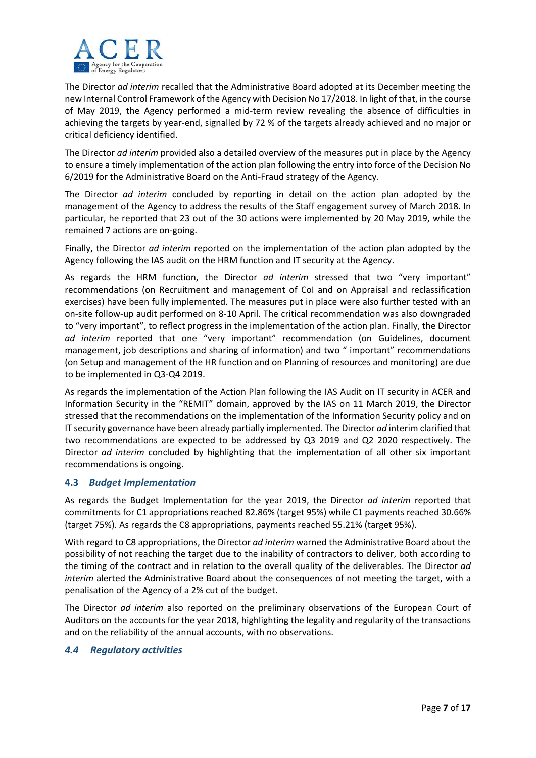

The Director *ad interim* recalled that the Administrative Board adopted at its December meeting the new Internal Control Framework of the Agency with Decision No 17/2018. In light of that, in the course of May 2019, the Agency performed a mid-term review revealing the absence of difficulties in achieving the targets by year‐end, signalled by 72 % of the targets already achieved and no major or critical deficiency identified.

The Director *ad interim* provided also a detailed overview of the measures put in place by the Agency to ensure a timely implementation of the action plan following the entry into force of the Decision No 6/2019 for the Administrative Board on the Anti‐Fraud strategy of the Agency.

The Director *ad interim* concluded by reporting in detail on the action plan adopted by the management of the Agency to address the results of the Staff engagement survey of March 2018. In particular, he reported that 23 out of the 30 actions were implemented by 20 May 2019, while the remained 7 actions are on‐going.

Finally, the Director *ad interim* reported on the implementation of the action plan adopted by the Agency following the IAS audit on the HRM function and IT security at the Agency.

As regards the HRM function, the Director *ad interim* stressed that two "very important" recommendations (on Recruitment and management of CoI and on Appraisal and reclassification exercises) have been fully implemented. The measures put in place were also further tested with an on‐site follow‐up audit performed on 8‐10 April. The critical recommendation was also downgraded to "very important", to reflect progress in the implementation of the action plan. Finally, the Director *ad interim* reported that one "very important" recommendation (on Guidelines, document management, job descriptions and sharing of information) and two " important" recommendations (on Setup and management of the HR function and on Planning of resources and monitoring) are due to be implemented in Q3‐Q4 2019.

As regards the implementation of the Action Plan following the IAS Audit on IT security in ACER and Information Security in the "REMIT" domain, approved by the IAS on 11 March 2019, the Director stressed that the recommendations on the implementation of the Information Security policy and on IT security governance have been already partially implemented. The Director *ad* interim clarified that two recommendations are expected to be addressed by Q3 2019 and Q2 2020 respectively. The Director *ad interim* concluded by highlighting that the implementation of all other six important recommendations is ongoing.

## **4.3** *Budget Implementation*

As regards the Budget Implementation for the year 2019, the Director *ad interim*  reported that commitments for C1 appropriations reached 82.86% (target 95%) while C1 payments reached 30.66% (target 75%). As regards the C8 appropriations, payments reached 55.21% (target 95%).

With regard to C8 appropriations, the Director *ad interim* warned the Administrative Board about the possibility of not reaching the target due to the inability of contractors to deliver, both according to the timing of the contract and in relation to the overall quality of the deliverables. The Director *ad interim* alerted the Administrative Board about the consequences of not meeting the target, with a penalisation of the Agency of a 2% cut of the budget.

The Director *ad interim* also reported on the preliminary observations of the European Court of Auditors on the accounts for the year 2018, highlighting the legality and regularity of the transactions and on the reliability of the annual accounts, with no observations.

#### *4.4 Regulatory activities*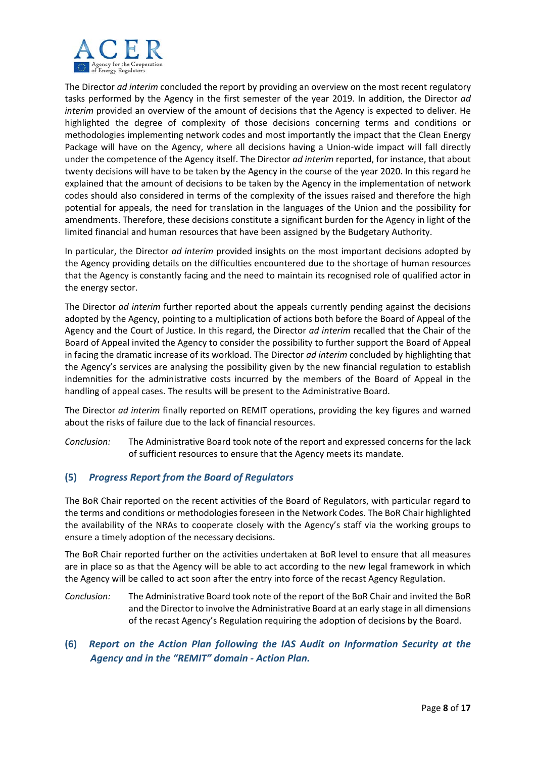

The Director *ad interim* concluded the report by providing an overview on the most recent regulatory tasks performed by the Agency in the first semester of the year 2019. In addition, the Director *ad interim* provided an overview of the amount of decisions that the Agency is expected to deliver. He highlighted the degree of complexity of those decisions concerning terms and conditions or methodologies implementing network codes and most importantly the impact that the Clean Energy Package will have on the Agency, where all decisions having a Union-wide impact will fall directly under the competence of the Agency itself. The Director *ad interim* reported, for instance, that about twenty decisions will have to be taken by the Agency in the course of the year 2020. In this regard he explained that the amount of decisions to be taken by the Agency in the implementation of network codes should also considered in terms of the complexity of the issues raised and therefore the high potential for appeals, the need for translation in the languages of the Union and the possibility for amendments. Therefore, these decisions constitute a significant burden for the Agency in light of the limited financial and human resources that have been assigned by the Budgetary Authority.

In particular, the Director *ad interim* provided insights on the most important decisions adopted by the Agency providing details on the difficulties encountered due to the shortage of human resources that the Agency is constantly facing and the need to maintain its recognised role of qualified actor in the energy sector.

The Director *ad interim* further reported about the appeals currently pending against the decisions adopted by the Agency, pointing to a multiplication of actions both before the Board of Appeal of the Agency and the Court of Justice. In this regard, the Director *ad interim* recalled that the Chair of the Board of Appeal invited the Agency to consider the possibility to further support the Board of Appeal in facing the dramatic increase of its workload. The Director *ad interim* concluded by highlighting that the Agency's services are analysing the possibility given by the new financial regulation to establish indemnities for the administrative costs incurred by the members of the Board of Appeal in the handling of appeal cases. The results will be present to the Administrative Board.

The Director *ad interim* finally reported on REMIT operations, providing the key figures and warned about the risks of failure due to the lack of financial resources.

*Conclusion:* The Administrative Board took note of the report and expressed concerns for the lack of sufficient resources to ensure that the Agency meets its mandate.

## **(5)** *Progress Report from the Board of Regulators*

The BoR Chair reported on the recent activities of the Board of Regulators, with particular regard to the terms and conditions or methodologies foreseen in the Network Codes. The BoR Chair highlighted the availability of the NRAs to cooperate closely with the Agency's staff via the working groups to ensure a timely adoption of the necessary decisions.

The BoR Chair reported further on the activities undertaken at BoR level to ensure that all measures are in place so as that the Agency will be able to act according to the new legal framework in which the Agency will be called to act soon after the entry into force of the recast Agency Regulation.

*Conclusion:* The Administrative Board took note of the report of the BoR Chair and invited the BoR and the Director to involve the Administrative Board at an early stage in all dimensions of the recast Agency's Regulation requiring the adoption of decisions by the Board.

# **(6)** *Report on the Action Plan following the IAS Audit on Information Security at the Agency and in the "REMIT" domain ‐ Action Plan.*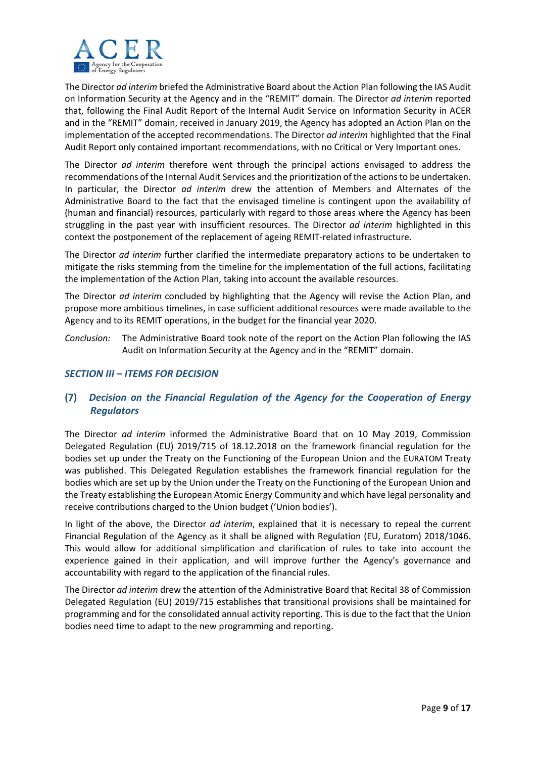

The Director *ad interim* briefed the Administrative Board about the Action Plan following the IAS Audit on Information Security at the Agency and in the "REMIT" domain. The Director *ad interim* reported that, following the Final Audit Report of the Internal Audit Service on Information Security in ACER and in the "REMIT" domain, received in January 2019, the Agency has adopted an Action Plan on the implementation of the accepted recommendations. The Director *ad interim* highlighted that the Final Audit Report only contained important recommendations, with no Critical or Very Important ones.

The Director *ad interim* therefore went through the principal actions envisaged to address the recommendations of the Internal Audit Services and the prioritization of the actions to be undertaken. In particular, the Director *ad interim* drew the attention of Members and Alternates of the Administrative Board to the fact that the envisaged timeline is contingent upon the availability of (human and financial) resources, particularly with regard to those areas where the Agency has been struggling in the past year with insufficient resources. The Director *ad interim* highlighted in this context the postponement of the replacement of ageing REMIT‐related infrastructure.

The Director *ad interim* further clarified the intermediate preparatory actions to be undertaken to mitigate the risks stemming from the timeline for the implementation of the full actions, facilitating the implementation of the Action Plan, taking into account the available resources.

The Director *ad interim* concluded by highlighting that the Agency will revise the Action Plan, and propose more ambitious timelines, in case sufficient additional resources were made available to the Agency and to its REMIT operations, in the budget for the financial year 2020.

*Conclusion:* The Administrative Board took note of the report on the Action Plan following the IAS Audit on Information Security at the Agency and in the "REMIT" domain.

## *SECTION III – ITEMS FOR DECISION*

# **(7)** *Decision on the Financial Regulation of the Agency for the Cooperation of Energy Regulators*

The Director *ad interim* informed the Administrative Board that on 10 May 2019, Commission Delegated Regulation (EU) 2019/715 of 18.12.2018 on the framework financial regulation for the bodies set up under the Treaty on the Functioning of the European Union and the EURATOM Treaty was published. This Delegated Regulation establishes the framework financial regulation for the bodies which are set up by the Union under the Treaty on the Functioning of the European Union and the Treaty establishing the European Atomic Energy Community and which have legal personality and receive contributions charged to the Union budget ('Union bodies').

In light of the above, the Director *ad interim*, explained that it is necessary to repeal the current Financial Regulation of the Agency as it shall be aligned with Regulation (EU, Euratom) 2018/1046. This would allow for additional simplification and clarification of rules to take into account the experience gained in their application, and will improve further the Agency's governance and accountability with regard to the application of the financial rules.

The Director *ad interim* drew the attention of the Administrative Board that Recital 38 of Commission Delegated Regulation (EU) 2019/715 establishes that transitional provisions shall be maintained for programming and for the consolidated annual activity reporting. This is due to the fact that the Union bodies need time to adapt to the new programming and reporting.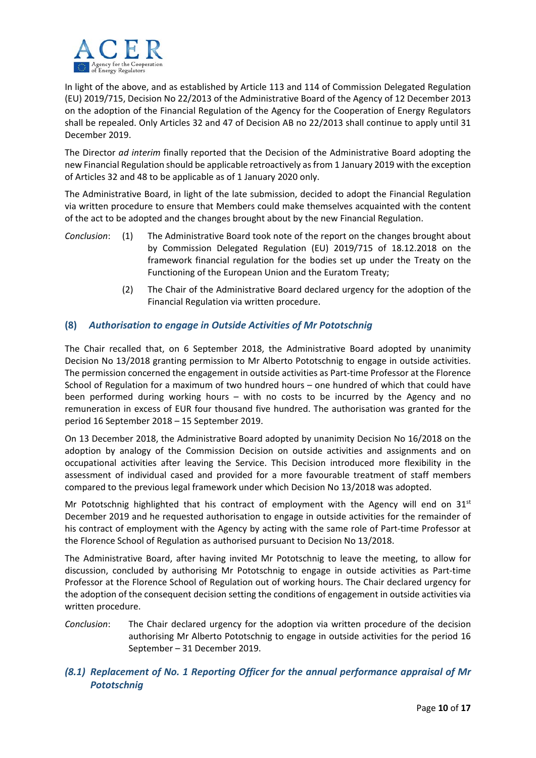

In light of the above, and as established by Article 113 and 114 of Commission Delegated Regulation (EU) 2019/715, Decision No 22/2013 of the Administrative Board of the Agency of 12 December 2013 on the adoption of the Financial Regulation of the Agency for the Cooperation of Energy Regulators shall be repealed. Only Articles 32 and 47 of Decision AB no 22/2013 shall continue to apply until 31 December 2019.

The Director *ad interim* finally reported that the Decision of the Administrative Board adopting the new Financial Regulation should be applicable retroactively as from 1 January 2019 with the exception of Articles 32 and 48 to be applicable as of 1 January 2020 only.

The Administrative Board, in light of the late submission, decided to adopt the Financial Regulation via written procedure to ensure that Members could make themselves acquainted with the content of the act to be adopted and the changes brought about by the new Financial Regulation.

- *Conclusion*: (1) The Administrative Board took note of the report on the changes brought about by Commission Delegated Regulation (EU) 2019/715 of 18.12.2018 on the framework financial regulation for the bodies set up under the Treaty on the Functioning of the European Union and the Euratom Treaty;
	- (2) The Chair of the Administrative Board declared urgency for the adoption of the Financial Regulation via written procedure.

# **(8)** *Authorisation to engage in Outside Activities of Mr Pototschnig*

The Chair recalled that, on 6 September 2018, the Administrative Board adopted by unanimity Decision No 13/2018 granting permission to Mr Alberto Pototschnig to engage in outside activities. The permission concerned the engagement in outside activities as Part-time Professor at the Florence School of Regulation for a maximum of two hundred hours – one hundred of which that could have been performed during working hours – with no costs to be incurred by the Agency and no remuneration in excess of EUR four thousand five hundred. The authorisation was granted for the period 16 September 2018 – 15 September 2019.

On 13 December 2018, the Administrative Board adopted by unanimity Decision No 16/2018 on the adoption by analogy of the Commission Decision on outside activities and assignments and on occupational activities after leaving the Service. This Decision introduced more flexibility in the assessment of individual cased and provided for a more favourable treatment of staff members compared to the previous legal framework under which Decision No 13/2018 was adopted.

Mr Pototschnig highlighted that his contract of employment with the Agency will end on  $31<sup>st</sup>$ December 2019 and he requested authorisation to engage in outside activities for the remainder of his contract of employment with the Agency by acting with the same role of Part-time Professor at the Florence School of Regulation as authorised pursuant to Decision No 13/2018.

The Administrative Board, after having invited Mr Pototschnig to leave the meeting, to allow for discussion, concluded by authorising Mr Pototschnig to engage in outside activities as Part‐time Professor at the Florence School of Regulation out of working hours. The Chair declared urgency for the adoption of the consequent decision setting the conditions of engagement in outside activities via written procedure.

*Conclusion*: The Chair declared urgency for the adoption via written procedure of the decision authorising Mr Alberto Pototschnig to engage in outside activities for the period 16 September – 31 December 2019.

# *(8.1) Replacement of No. 1 Reporting Officer for the annual performance appraisal of Mr Pototschnig*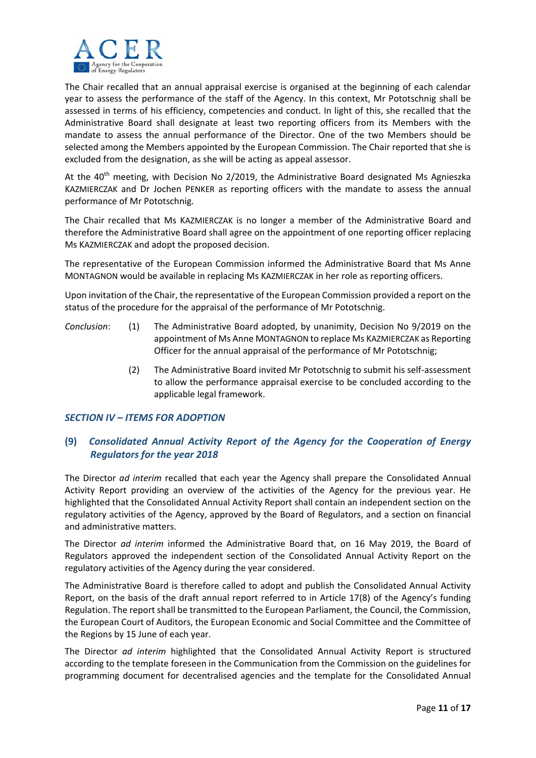

The Chair recalled that an annual appraisal exercise is organised at the beginning of each calendar year to assess the performance of the staff of the Agency. In this context, Mr Pototschnig shall be assessed in terms of his efficiency, competencies and conduct. In light of this, she recalled that the Administrative Board shall designate at least two reporting officers from its Members with the mandate to assess the annual performance of the Director. One of the two Members should be selected among the Members appointed by the European Commission. The Chair reported that she is excluded from the designation, as she will be acting as appeal assessor.

At the 40<sup>th</sup> meeting, with Decision No 2/2019, the Administrative Board designated Ms Agnieszka KAZMIERCZAK and Dr Jochen PENKER as reporting officers with the mandate to assess the annual performance of Mr Pototschnig.

The Chair recalled that Ms KAZMIERCZAK is no longer a member of the Administrative Board and therefore the Administrative Board shall agree on the appointment of one reporting officer replacing Ms KAZMIERCZAK and adopt the proposed decision.

The representative of the European Commission informed the Administrative Board that Ms Anne MONTAGNON would be available in replacing Ms KAZMIERCZAK in her role as reporting officers.

Upon invitation of the Chair, the representative of the European Commission provided a report on the status of the procedure for the appraisal of the performance of Mr Pototschnig.

- *Conclusion*: (1) The Administrative Board adopted, by unanimity, Decision No 9/2019 on the appointment of Ms Anne MONTAGNON to replace Ms KAZMIERCZAK as Reporting Officer for the annual appraisal of the performance of Mr Pototschnig;
	- (2) The Administrative Board invited Mr Pototschnig to submit his self‐assessment to allow the performance appraisal exercise to be concluded according to the applicable legal framework.

## *SECTION IV – ITEMS FOR ADOPTION*

# **(9)** *Consolidated Annual Activity Report of the Agency for the Cooperation of Energy Regulators for the year 2018*

The Director *ad interim* recalled that each year the Agency shall prepare the Consolidated Annual Activity Report providing an overview of the activities of the Agency for the previous year. He highlighted that the Consolidated Annual Activity Report shall contain an independent section on the regulatory activities of the Agency, approved by the Board of Regulators, and a section on financial and administrative matters.

The Director *ad interim* informed the Administrative Board that, on 16 May 2019, the Board of Regulators approved the independent section of the Consolidated Annual Activity Report on the regulatory activities of the Agency during the year considered.

The Administrative Board is therefore called to adopt and publish the Consolidated Annual Activity Report, on the basis of the draft annual report referred to in Article 17(8) of the Agency's funding Regulation. The report shall be transmitted to the European Parliament, the Council, the Commission, the European Court of Auditors, the European Economic and Social Committee and the Committee of the Regions by 15 June of each year.

The Director *ad interim* highlighted that the Consolidated Annual Activity Report is structured according to the template foreseen in the Communication from the Commission on the guidelines for programming document for decentralised agencies and the template for the Consolidated Annual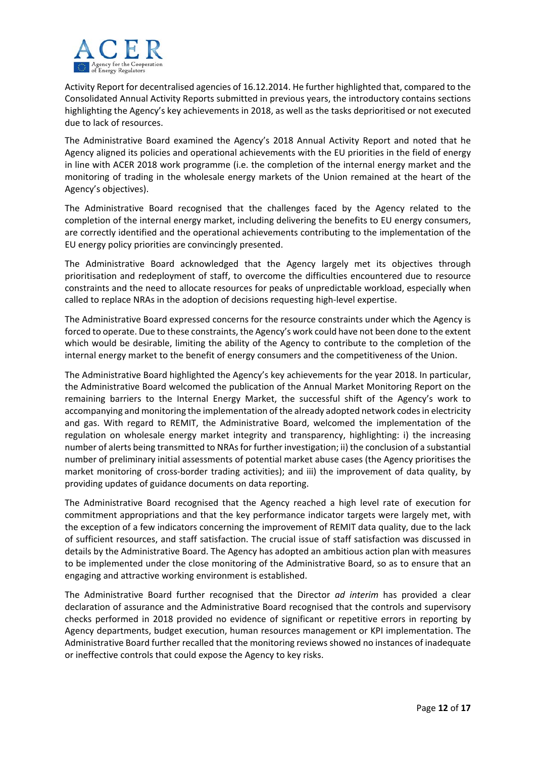

Activity Report for decentralised agencies of 16.12.2014. He further highlighted that, compared to the Consolidated Annual Activity Reports submitted in previous years, the introductory contains sections highlighting the Agency's key achievements in 2018, as well as the tasks deprioritised or not executed due to lack of resources.

The Administrative Board examined the Agency's 2018 Annual Activity Report and noted that he Agency aligned its policies and operational achievements with the EU priorities in the field of energy in line with ACER 2018 work programme (i.e. the completion of the internal energy market and the monitoring of trading in the wholesale energy markets of the Union remained at the heart of the Agency's objectives).

The Administrative Board recognised that the challenges faced by the Agency related to the completion of the internal energy market, including delivering the benefits to EU energy consumers, are correctly identified and the operational achievements contributing to the implementation of the EU energy policy priorities are convincingly presented.

The Administrative Board acknowledged that the Agency largely met its objectives through prioritisation and redeployment of staff, to overcome the difficulties encountered due to resource constraints and the need to allocate resources for peaks of unpredictable workload, especially when called to replace NRAs in the adoption of decisions requesting high‐level expertise.

The Administrative Board expressed concerns for the resource constraints under which the Agency is forced to operate. Due to these constraints, the Agency's work could have not been done to the extent which would be desirable, limiting the ability of the Agency to contribute to the completion of the internal energy market to the benefit of energy consumers and the competitiveness of the Union.

The Administrative Board highlighted the Agency's key achievements for the year 2018. In particular, the Administrative Board welcomed the publication of the Annual Market Monitoring Report on the remaining barriers to the Internal Energy Market, the successful shift of the Agency's work to accompanying and monitoring the implementation of the already adopted network codes in electricity and gas. With regard to REMIT, the Administrative Board, welcomed the implementation of the regulation on wholesale energy market integrity and transparency, highlighting: i) the increasing number of alerts being transmitted to NRAs for further investigation; ii) the conclusion of a substantial number of preliminary initial assessments of potential market abuse cases (the Agency prioritises the market monitoring of cross-border trading activities); and iii) the improvement of data quality, by providing updates of guidance documents on data reporting.

The Administrative Board recognised that the Agency reached a high level rate of execution for commitment appropriations and that the key performance indicator targets were largely met, with the exception of a few indicators concerning the improvement of REMIT data quality, due to the lack of sufficient resources, and staff satisfaction. The crucial issue of staff satisfaction was discussed in details by the Administrative Board. The Agency has adopted an ambitious action plan with measures to be implemented under the close monitoring of the Administrative Board, so as to ensure that an engaging and attractive working environment is established.

The Administrative Board further recognised that the Director *ad interim* has provided a clear declaration of assurance and the Administrative Board recognised that the controls and supervisory checks performed in 2018 provided no evidence of significant or repetitive errors in reporting by Agency departments, budget execution, human resources management or KPI implementation. The Administrative Board further recalled that the monitoring reviews showed no instances of inadequate or ineffective controls that could expose the Agency to key risks.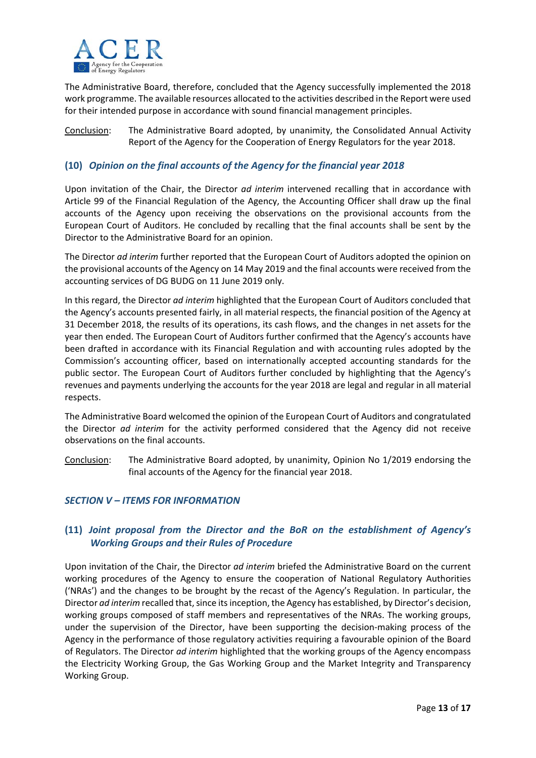

The Administrative Board, therefore, concluded that the Agency successfully implemented the 2018 work programme. The available resources allocated to the activities described in the Report were used for their intended purpose in accordance with sound financial management principles.

Conclusion: The Administrative Board adopted, by unanimity, the Consolidated Annual Activity Report of the Agency for the Cooperation of Energy Regulators for the year 2018.

## **(10)** *Opinion on the final accounts of the Agency for the financial year 2018*

Upon invitation of the Chair, the Director *ad interim* intervened recalling that in accordance with Article 99 of the Financial Regulation of the Agency, the Accounting Officer shall draw up the final accounts of the Agency upon receiving the observations on the provisional accounts from the European Court of Auditors. He concluded by recalling that the final accounts shall be sent by the Director to the Administrative Board for an opinion.

The Director *ad interim* further reported that the European Court of Auditors adopted the opinion on the provisional accounts of the Agency on 14 May 2019 and the final accounts were received from the accounting services of DG BUDG on 11 June 2019 only.

In this regard, the Director *ad interim* highlighted that the European Court of Auditors concluded that the Agency's accounts presented fairly, in all material respects, the financial position of the Agency at 31 December 2018, the results of its operations, its cash flows, and the changes in net assets for the year then ended. The European Court of Auditors further confirmed that the Agency's accounts have been drafted in accordance with its Financial Regulation and with accounting rules adopted by the Commission's accounting officer, based on internationally accepted accounting standards for the public sector. The European Court of Auditors further concluded by highlighting that the Agency's revenues and payments underlying the accounts for the year 2018 are legal and regular in all material respects.

The Administrative Board welcomed the opinion of the European Court of Auditors and congratulated the Director *ad interim* for the activity performed considered that the Agency did not receive observations on the final accounts.

Conclusion: The Administrative Board adopted, by unanimity, Opinion No 1/2019 endorsing the final accounts of the Agency for the financial year 2018.

## *SECTION V – ITEMS FOR INFORMATION*

# **(11)** *Joint proposal from the Director and the BoR on the establishment of Agency's Working Groups and their Rules of Procedure*

Upon invitation of the Chair, the Director *ad interim* briefed the Administrative Board on the current working procedures of the Agency to ensure the cooperation of National Regulatory Authorities ('NRAs') and the changes to be brought by the recast of the Agency's Regulation. In particular, the Director *ad interim* recalled that, since its inception, the Agency has established, by Director's decision, working groups composed of staff members and representatives of the NRAs. The working groups, under the supervision of the Director, have been supporting the decision-making process of the Agency in the performance of those regulatory activities requiring a favourable opinion of the Board of Regulators. The Director *ad interim* highlighted that the working groups of the Agency encompass the Electricity Working Group, the Gas Working Group and the Market Integrity and Transparency Working Group.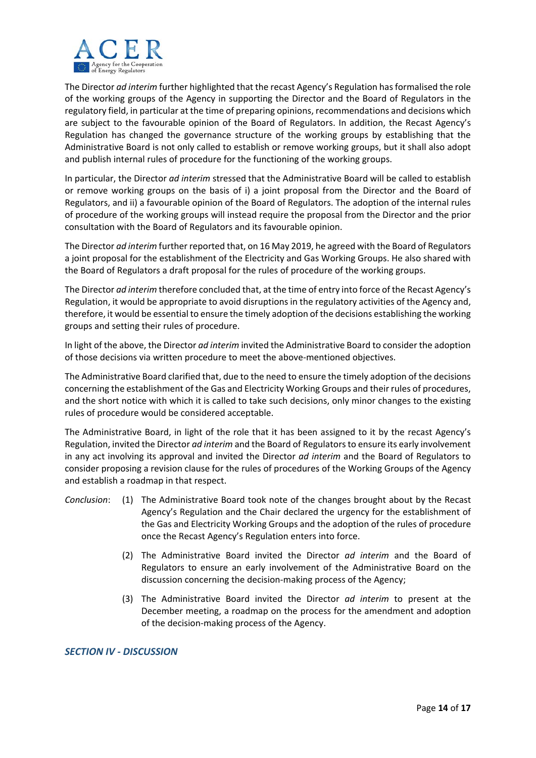

The Director *ad interim* further highlighted that the recast Agency's Regulation has formalised the role of the working groups of the Agency in supporting the Director and the Board of Regulators in the regulatory field, in particular at the time of preparing opinions, recommendations and decisions which are subject to the favourable opinion of the Board of Regulators. In addition, the Recast Agency's Regulation has changed the governance structure of the working groups by establishing that the Administrative Board is not only called to establish or remove working groups, but it shall also adopt and publish internal rules of procedure for the functioning of the working groups.

In particular, the Director *ad interim* stressed that the Administrative Board will be called to establish or remove working groups on the basis of i) a joint proposal from the Director and the Board of Regulators, and ii) a favourable opinion of the Board of Regulators. The adoption of the internal rules of procedure of the working groups will instead require the proposal from the Director and the prior consultation with the Board of Regulators and its favourable opinion.

The Director *ad interim* further reported that, on 16 May 2019, he agreed with the Board of Regulators a joint proposal for the establishment of the Electricity and Gas Working Groups. He also shared with the Board of Regulators a draft proposal for the rules of procedure of the working groups.

The Director *ad interim* therefore concluded that, at the time of entry into force of the Recast Agency's Regulation, it would be appropriate to avoid disruptions in the regulatory activities of the Agency and, therefore, it would be essential to ensure the timely adoption of the decisions establishing the working groups and setting their rules of procedure.

In light of the above, the Director *ad interim* invited the Administrative Board to consider the adoption of those decisions via written procedure to meet the above‐mentioned objectives.

The Administrative Board clarified that, due to the need to ensure the timely adoption of the decisions concerning the establishment of the Gas and Electricity Working Groups and their rules of procedures, and the short notice with which it is called to take such decisions, only minor changes to the existing rules of procedure would be considered acceptable.

The Administrative Board, in light of the role that it has been assigned to it by the recast Agency's Regulation, invited the Director *ad interim* and the Board of Regulators to ensure its early involvement in any act involving its approval and invited the Director *ad interim* and the Board of Regulators to consider proposing a revision clause for the rules of procedures of the Working Groups of the Agency and establish a roadmap in that respect.

- *Conclusion*: (1) The Administrative Board took note of the changes brought about by the Recast Agency's Regulation and the Chair declared the urgency for the establishment of the Gas and Electricity Working Groups and the adoption of the rules of procedure once the Recast Agency's Regulation enters into force.
	- (2) The Administrative Board invited the Director *ad interim* and the Board of Regulators to ensure an early involvement of the Administrative Board on the discussion concerning the decision‐making process of the Agency;
	- (3) The Administrative Board invited the Director *ad interim*  to present at the December meeting, a roadmap on the process for the amendment and adoption of the decision‐making process of the Agency.

*SECTION IV ‐ DISCUSSION*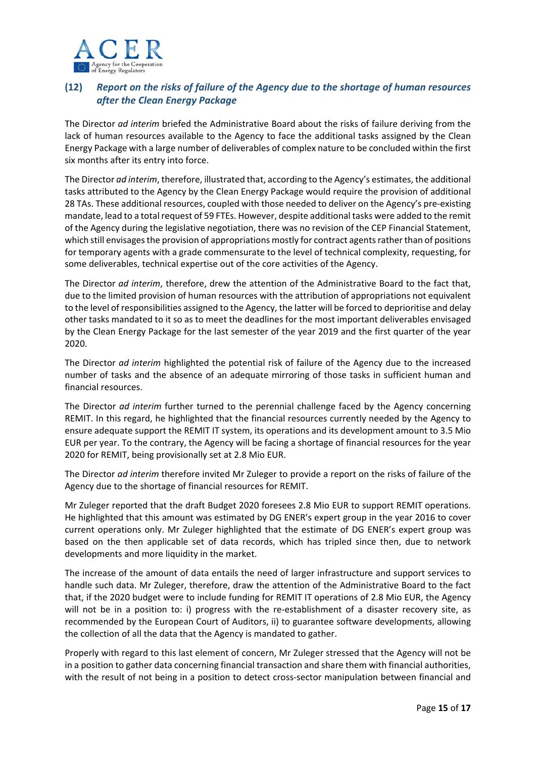

# **(12)** *Report on the risks of failure of the Agency due to the shortage of human resources after the Clean Energy Package*

The Director *ad interim* briefed the Administrative Board about the risks of failure deriving from the lack of human resources available to the Agency to face the additional tasks assigned by the Clean Energy Package with a large number of deliverables of complex nature to be concluded within the first six months after its entry into force.

The Director *ad interim*, therefore, illustrated that, according to the Agency's estimates, the additional tasks attributed to the Agency by the Clean Energy Package would require the provision of additional 28 TAs. These additional resources, coupled with those needed to deliver on the Agency's pre‐existing mandate, lead to a total request of 59 FTEs. However, despite additional tasks were added to the remit of the Agency during the legislative negotiation, there was no revision of the CEP Financial Statement, which still envisages the provision of appropriations mostly for contract agents rather than of positions for temporary agents with a grade commensurate to the level of technical complexity, requesting, for some deliverables, technical expertise out of the core activities of the Agency.

The Director *ad interim*, therefore, drew the attention of the Administrative Board to the fact that, due to the limited provision of human resources with the attribution of appropriations not equivalent to the level of responsibilities assigned to the Agency, the latter will be forced to deprioritise and delay other tasks mandated to it so as to meet the deadlines for the most important deliverables envisaged by the Clean Energy Package for the last semester of the year 2019 and the first quarter of the year 2020.

The Director *ad interim* highlighted the potential risk of failure of the Agency due to the increased number of tasks and the absence of an adequate mirroring of those tasks in sufficient human and financial resources.

The Director *ad interim* further turned to the perennial challenge faced by the Agency concerning REMIT. In this regard, he highlighted that the financial resources currently needed by the Agency to ensure adequate support the REMIT IT system, its operations and its development amount to 3.5 Mio EUR per year. To the contrary, the Agency will be facing a shortage of financial resources for the year 2020 for REMIT, being provisionally set at 2.8 Mio EUR.

The Director *ad interim* therefore invited Mr Zuleger to provide a report on the risks of failure of the Agency due to the shortage of financial resources for REMIT.

Mr Zuleger reported that the draft Budget 2020 foresees 2.8 Mio EUR to support REMIT operations. He highlighted that this amount was estimated by DG ENER's expert group in the year 2016 to cover current operations only. Mr Zuleger highlighted that the estimate of DG ENER's expert group was based on the then applicable set of data records, which has tripled since then, due to network developments and more liquidity in the market.

The increase of the amount of data entails the need of larger infrastructure and support services to handle such data. Mr Zuleger, therefore, draw the attention of the Administrative Board to the fact that, if the 2020 budget were to include funding for REMIT IT operations of 2.8 Mio EUR, the Agency will not be in a position to: i) progress with the re-establishment of a disaster recovery site, as recommended by the European Court of Auditors, ii) to guarantee software developments, allowing the collection of all the data that the Agency is mandated to gather.

Properly with regard to this last element of concern, Mr Zuleger stressed that the Agency will not be in a position to gather data concerning financial transaction and share them with financial authorities, with the result of not being in a position to detect cross-sector manipulation between financial and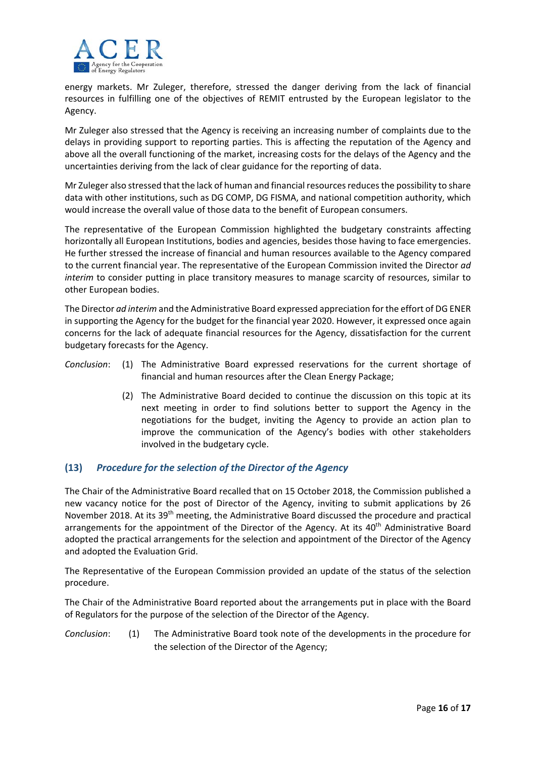

energy markets. Mr Zuleger, therefore, stressed the danger deriving from the lack of financial resources in fulfilling one of the objectives of REMIT entrusted by the European legislator to the Agency.

Mr Zuleger also stressed that the Agency is receiving an increasing number of complaints due to the delays in providing support to reporting parties. This is affecting the reputation of the Agency and above all the overall functioning of the market, increasing costs for the delays of the Agency and the uncertainties deriving from the lack of clear guidance for the reporting of data.

Mr Zuleger also stressed that the lack of human and financial resources reduces the possibility to share data with other institutions, such as DG COMP, DG FISMA, and national competition authority, which would increase the overall value of those data to the benefit of European consumers.

The representative of the European Commission highlighted the budgetary constraints affecting horizontally all European Institutions, bodies and agencies, besides those having to face emergencies. He further stressed the increase of financial and human resources available to the Agency compared to the current financial year. The representative of the European Commission invited the Director *ad interim* to consider putting in place transitory measures to manage scarcity of resources, similar to other European bodies.

The Director *ad interim* and the Administrative Board expressed appreciation for the effort of DG ENER in supporting the Agency for the budget for the financial year 2020. However, it expressed once again concerns for the lack of adequate financial resources for the Agency, dissatisfaction for the current budgetary forecasts for the Agency.

- *Conclusion*: (1) The Administrative Board expressed reservations for the current shortage of financial and human resources after the Clean Energy Package;
	- (2) The Administrative Board decided to continue the discussion on this topic at its next meeting in order to find solutions better to support the Agency in the negotiations for the budget, inviting the Agency to provide an action plan to improve the communication of the Agency's bodies with other stakeholders involved in the budgetary cycle.

## **(13)** *Procedure for the selection of the Director of the Agency*

The Chair of the Administrative Board recalled that on 15 October 2018, the Commission published a new vacancy notice for the post of Director of the Agency, inviting to submit applications by 26 November 2018. At its 39th meeting, the Administrative Board discussed the procedure and practical arrangements for the appointment of the Director of the Agency. At its 40<sup>th</sup> Administrative Board adopted the practical arrangements for the selection and appointment of the Director of the Agency and adopted the Evaluation Grid.

The Representative of the European Commission provided an update of the status of the selection procedure.

The Chair of the Administrative Board reported about the arrangements put in place with the Board of Regulators for the purpose of the selection of the Director of the Agency.

## *Conclusion*: (1) The Administrative Board took note of the developments in the procedure for the selection of the Director of the Agency;